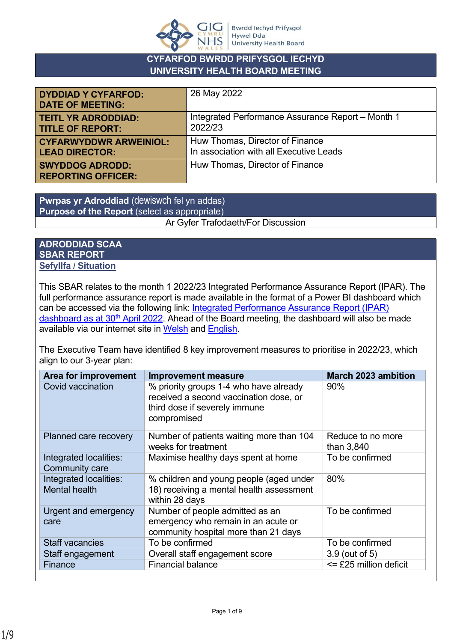

### **CYFARFOD BWRDD PRIFYSGOL IECHYD UNIVERSITY HEALTH BOARD MEETING**

| <b>DYDDIAD Y CYFARFOD:</b><br><b>DATE OF MEETING:</b> | 26 May 2022                                       |
|-------------------------------------------------------|---------------------------------------------------|
| <b>TEITL YR ADRODDIAD:</b>                            | Integrated Performance Assurance Report - Month 1 |
| <b>TITLE OF REPORT:</b>                               | 2022/23                                           |
| <b>CYFARWYDDWR ARWEINIOL:</b>                         | Huw Thomas, Director of Finance                   |
| <b>LEAD DIRECTOR:</b>                                 | In association with all Executive Leads           |
| <b>SWYDDOG ADRODD:</b><br><b>REPORTING OFFICER:</b>   | Huw Thomas, Director of Finance                   |

**Pwrpas yr Adroddiad** (dewiswch fel yn addas) **Purpose of the Report** (select as appropriate) Ar Gyfer Trafodaeth/For Discussion

### **ADRODDIAD SCAA SBAR REPORT Sefyllfa / Situation**

This SBAR relates to the month 1 2022/23 Integrated Performance Assurance Report (IPAR). The full performance assurance report is made available in the format of a Power BI dashboard which can be accessed via the following link: [Integrated Performance Assurance Report \(IPAR\)](https://app.powerbi.com/view?r=eyJrIjoiYTU2NTAxNWEtMmM0MS00ZmNhLWFiYzYtMDAyYzk2NWQxNjg2IiwidCI6ImJiNTYyOGI4LWUzMjgtNDA4Mi1hODU2LTQzM2M5ZWRjOGZhZSJ9)  [dashboard as at 30](https://app.powerbi.com/view?r=eyJrIjoiYTU2NTAxNWEtMmM0MS00ZmNhLWFiYzYtMDAyYzk2NWQxNjg2IiwidCI6ImJiNTYyOGI4LWUzMjgtNDA4Mi1hODU2LTQzM2M5ZWRjOGZhZSJ9)<sup>th</sup> April 2022. Ahead of the Board meeting, the dashboard will also be made available via our internet site in [Welsh](https://biphdd.gig.cymru/amdanom-ni/targedau-perfformiad/ein-perfformiad-ffolder/monitro-ein-perfformiad/) and [English](https://hduhb.nhs.wales/about-us/performance-targets/our-performance-areas/monitoring-our-performance/).

The Executive Team have identified 8 key improvement measures to prioritise in 2022/23, which align to our 3-year plan:

| <b>Area for improvement</b>                     | <b>Improvement measure</b>                                                                                                       | <b>March 2023 ambition</b>      |
|-------------------------------------------------|----------------------------------------------------------------------------------------------------------------------------------|---------------------------------|
| Covid vaccination                               | % priority groups 1-4 who have already<br>received a second vaccination dose, or<br>third dose if severely immune<br>compromised | 90%                             |
| Planned care recovery                           | Number of patients waiting more than 104<br>weeks for treatment                                                                  | Reduce to no more<br>than 3,840 |
| Integrated localities:<br><b>Community care</b> | Maximise healthy days spent at home                                                                                              | To be confirmed                 |
| Integrated localities:<br><b>Mental health</b>  | % children and young people (aged under<br>18) receiving a mental health assessment<br>within 28 days                            | 80%                             |
| Urgent and emergency<br>care                    | Number of people admitted as an<br>emergency who remain in an acute or<br>community hospital more than 21 days                   | To be confirmed                 |
| <b>Staff vacancies</b>                          | To be confirmed                                                                                                                  | To be confirmed                 |
| Staff engagement                                | Overall staff engagement score                                                                                                   | 3.9 (out of 5)                  |
| Finance                                         | <b>Financial balance</b>                                                                                                         | <= £25 million deficit          |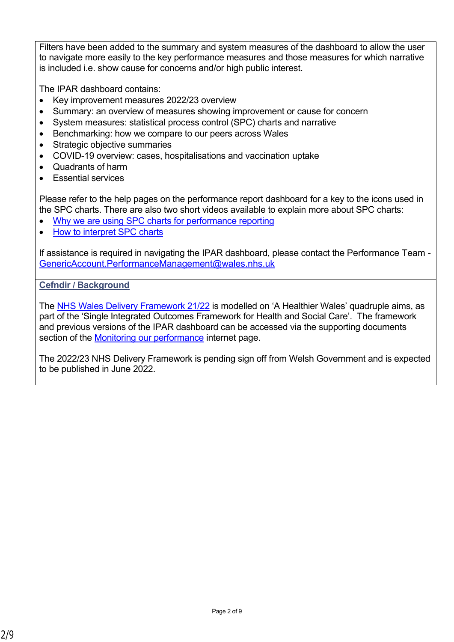Filters have been added to the summary and system measures of the dashboard to allow the user to navigate more easily to the key performance measures and those measures for which narrative is included i.e. show cause for concerns and/or high public interest.

The IPAR dashboard contains:

- Key improvement measures 2022/23 overview
- Summary: an overview of measures showing improvement or cause for concern
- System measures: statistical process control (SPC) charts and narrative
- Benchmarking: how we compare to our peers across Wales
- Strategic objective summaries
- COVID-19 overview: cases, hospitalisations and vaccination uptake
- Quadrants of harm
- Essential services

Please refer to the help pages on the performance report dashboard for a key to the icons used in the SPC charts. There are also two short videos available to explain more about SPC charts:

- [Why we are using SPC charts for performance reporting](https://nhswales365.sharepoint.com/:v:/s/HDD_Performance_Reporting/EVrWg04boMRGq6n8BhnhP1gByPMHrVXyIvQF8LkaQ43djQ?e=VNVZlM)
- [How to interpret SPC charts](https://nhswales365.sharepoint.com/:v:/s/HDD_Performance_Reporting/EQ8GDAtcW69JmNR8KkqpXDkBGVIPRxUw26vV5Up5a_RglA?e=dkX2vT)

If assistance is required in navigating the IPAR dashboard, please contact the Performance Team - [GenericAccount.PerformanceManagement@wales.nhs.uk](mailto:GenericAccount.PerformanceManagement@wales.nhs.uk)

## **Cefndir / Background**

The [NHS Wales Delivery Framework 21/22](https://hduhb.nhs.wales/about-us/performance-targets/performance-documents/2021-22-nhs-wales-delivery-framework-amp-guidance-pdf/) is modelled on 'A Healthier Wales' quadruple aims, as part of the 'Single Integrated Outcomes Framework for Health and Social Care'. The framework and previous versions of the IPAR dashboard can be accessed via the supporting documents section of the [Monitoring our performance](https://hduhb.nhs.wales/about-us/performance-targets/our-performance-areas/monitoring-our-performance/) internet page.

The 2022/23 NHS Delivery Framework is pending sign off from Welsh Government and is expected to be published in June 2022.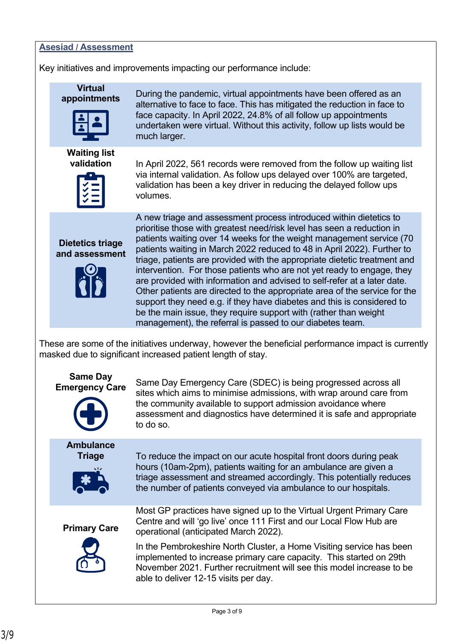#### **Asesiad / Assessment**

Key initiatives and improvements impacting our performance include:

**Virtual** 



**Waiting list** 



**appointments** During the pandemic, virtual appointments have been offered as an alternative to face to face. This has mitigated the reduction in face to face capacity. In April 2022, 24.8% of all follow up appointments undertaken were virtual. Without this activity, follow up lists would be much larger.

**validation** In April 2022, 561 records were removed from the follow up waiting list via internal validation. As follow ups delayed over 100% are targeted, validation has been a key driver in reducing the delayed follow ups volumes.

**Dietetics triage and assessment**



A new triage and assessment process introduced within dietetics to prioritise those with greatest need/risk level has seen a reduction in patients waiting over 14 weeks for the weight management service (70 patients waiting in March 2022 reduced to 48 in April 2022). Further to triage, patients are provided with the appropriate dietetic treatment and intervention. For those patients who are not yet ready to engage, they are provided with information and advised to self-refer at a later date. Other patients are directed to the appropriate area of the service for the support they need e.g. if they have diabetes and this is considered to be the main issue, they require support with (rather than weight management), the referral is passed to our diabetes team.

These are some of the initiatives underway, however the beneficial performance impact is currently masked due to significant increased patient length of stay.

# **Same Day**



**Emergency Care** Same Day Emergency Care (SDEC) is being progressed across all sites which aims to minimise admissions, with wrap around care from the community available to support admission avoidance where assessment and diagnostics have determined it is safe and appropriate to do so.

**Ambulance**



**Triage** To reduce the impact on our acute hospital front doors during peak hours (10am-2pm), patients waiting for an ambulance are given a triage assessment and streamed accordingly. This potentially reduces the number of patients conveyed via ambulance to our hospitals.

**Primary Care** 



Most GP practices have signed up to the Virtual Urgent Primary Care Centre and will 'go live' once 111 First and our Local Flow Hub are operational (anticipated March 2022).

In the Pembrokeshire North Cluster, a Home Visiting service has been implemented to increase primary care capacity. This started on 29th November 2021. Further recruitment will see this model increase to be able to deliver 12-15 visits per day.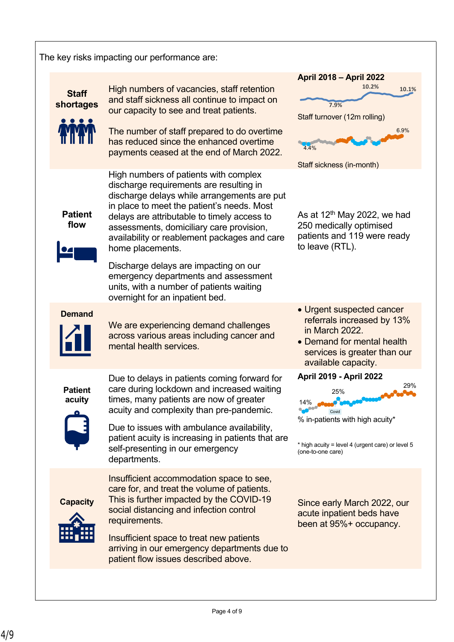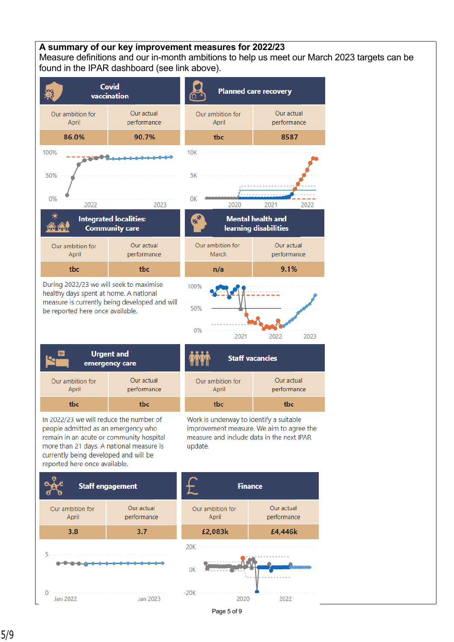### **A summary of our key improvement measures for 2022/23**

Measure definitions and our in-month ambitions to help us meet our March 2023 targets can be found in the IPAR dashboard (see link above).



During 2022/23 we will seek to maximise healthy days spent at home. A national measure is currently being developed and will be reported here once available.



Our actual

performance

8587

2022

| <b>Urgent and</b><br>₩<br>emergency care |                           |
|------------------------------------------|---------------------------|
| Our ambition for<br>April                | Our actual<br>performance |
| the                                      | the                       |

In 2022/23 we will reduce the number of people admitted as an emergency who remain in an acute or community hospital more than 21 days. A national measure is currently being developed and will be reported here once available.



Work is underway to identify a suitable improvement measure. We aim to agree the measure and include data in the next IPAR update.

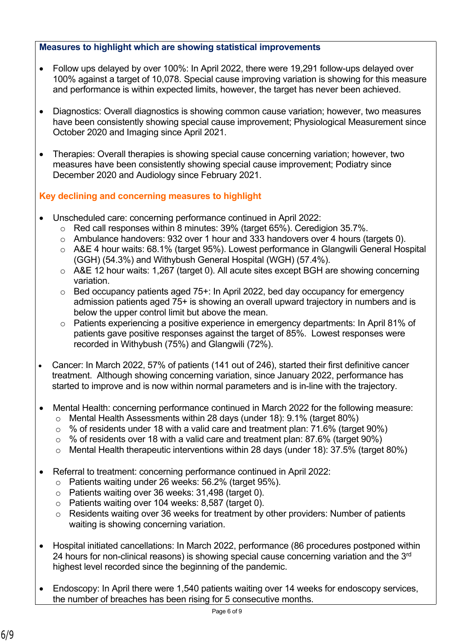### **Measures to highlight which are showing statistical improvements**

- Follow ups delayed by over 100%: In April 2022, there were 19,291 follow-ups delayed over 100% against a target of 10,078. Special cause improving variation is showing for this measure and performance is within expected limits, however, the target has never been achieved.
- Diagnostics: Overall diagnostics is showing common cause variation; however, two measures have been consistently showing special cause improvement; Physiological Measurement since October 2020 and Imaging since April 2021.
- Therapies: Overall therapies is showing special cause concerning variation; however, two measures have been consistently showing special cause improvement; Podiatry since December 2020 and Audiology since February 2021.

# **Key declining and concerning measures to highlight**

- Unscheduled care: concerning performance continued in April 2022:
	- o Red call responses within 8 minutes: 39% (target 65%). Ceredigion 35.7%.
	- o Ambulance handovers: 932 over 1 hour and 333 handovers over 4 hours (targets 0).
	- o A&E 4 hour waits: 68.1% (target 95%). Lowest performance in Glangwili General Hospital (GGH) (54.3%) and Withybush General Hospital (WGH) (57.4%).
	- o A&E 12 hour waits: 1,267 (target 0). All acute sites except BGH are showing concerning variation.
	- $\circ$  Bed occupancy patients aged 75+: In April 2022, bed day occupancy for emergency admission patients aged 75+ is showing an overall upward trajectory in numbers and is below the upper control limit but above the mean.
	- o Patients experiencing a positive experience in emergency departments: In April 81% of patients gave positive responses against the target of 85%. Lowest responses were recorded in Withybush (75%) and Glangwili (72%).
- Cancer: In March 2022, 57% of patients (141 out of 246), started their first definitive cancer treatment. Although showing concerning variation, since January 2022, performance has started to improve and is now within normal parameters and is in-line with the trajectory.
- Mental Health: concerning performance continued in March 2022 for the following measure:
	- o Mental Health Assessments within 28 days (under 18): 9.1% (target 80%)
	- $\circ$  % of residents under 18 with a valid care and treatment plan: 71.6% (target 90%)
	- $\degree$  % of residents over 18 with a valid care and treatment plan: 87.6% (target 90%)
	- o Mental Health therapeutic interventions within 28 days (under 18): 37.5% (target 80%)
- Referral to treatment: concerning performance continued in April 2022:
	- o Patients waiting under 26 weeks: 56.2% (target 95%).
	- o Patients waiting over 36 weeks: 31,498 (target 0).
	- o Patients waiting over 104 weeks: 8,587 (target 0).
	- o Residents waiting over 36 weeks for treatment by other providers: Number of patients waiting is showing concerning variation.
- Hospital initiated cancellations: In March 2022, performance (86 procedures postponed within 24 hours for non-clinical reasons) is showing special cause concerning variation and the 3<sup>rd</sup> highest level recorded since the beginning of the pandemic.
- Endoscopy: In April there were 1,540 patients waiting over 14 weeks for endoscopy services, the number of breaches has been rising for 5 consecutive months.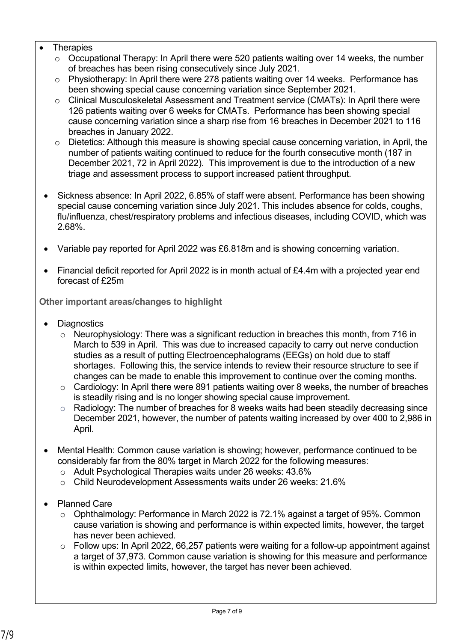- **Therapies** 
	- o Occupational Therapy: In April there were 520 patients waiting over 14 weeks, the number of breaches has been rising consecutively since July 2021.
	- o Physiotherapy: In April there were 278 patients waiting over 14 weeks. Performance has been showing special cause concerning variation since September 2021.
	- o Clinical Musculoskeletal Assessment and Treatment service (CMATs): In April there were 126 patients waiting over 6 weeks for CMATs. Performance has been showing special cause concerning variation since a sharp rise from 16 breaches in December 2021 to 116 breaches in January 2022.
	- o Dietetics: Although this measure is showing special cause concerning variation, in April, the number of patients waiting continued to reduce for the fourth consecutive month (187 in December 2021, 72 in April 2022). This improvement is due to the introduction of a new triage and assessment process to support increased patient throughput.
	- Sickness absence: In April 2022, 6.85% of staff were absent. Performance has been showing special cause concerning variation since July 2021. This includes absence for colds, coughs, flu/influenza, chest/respiratory problems and infectious diseases, including COVID, which was 2.68%.
	- Variable pay reported for April 2022 was £6.818m and is showing concerning variation.
	- Financial deficit reported for April 2022 is in month actual of £4.4m with a projected year end forecast of £25m

**Other important areas/changes to highlight**

- **Diagnostics** 
	- o Neurophysiology: There was a significant reduction in breaches this month, from 716 in March to 539 in April. This was due to increased capacity to carry out nerve conduction studies as a result of putting Electroencephalograms (EEGs) on hold due to staff shortages. Following this, the service intends to review their resource structure to see if changes can be made to enable this improvement to continue over the coming months.
	- o Cardiology: In April there were 891 patients waiting over 8 weeks, the number of breaches is steadily rising and is no longer showing special cause improvement.
	- $\circ$  Radiology: The number of breaches for 8 weeks waits had been steadily decreasing since December 2021, however, the number of patents waiting increased by over 400 to 2,986 in April.
- Mental Health: Common cause variation is showing; however, performance continued to be considerably far from the 80% target in March 2022 for the following measures:
	- o Adult Psychological Therapies waits under 26 weeks: 43.6%
	- o Child Neurodevelopment Assessments waits under 26 weeks: 21.6%
- Planned Care
	- o Ophthalmology: Performance in March 2022 is 72.1% against a target of 95%. Common cause variation is showing and performance is within expected limits, however, the target has never been achieved.
	- $\circ$  Follow ups: In April 2022, 66,257 patients were waiting for a follow-up appointment against a target of 37,973. Common cause variation is showing for this measure and performance is within expected limits, however, the target has never been achieved.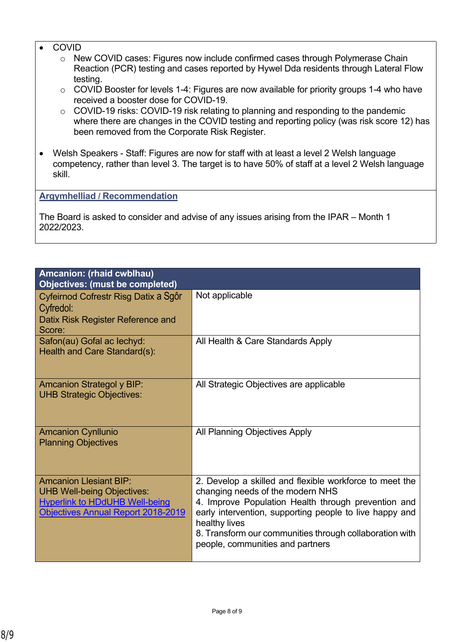- **COVID** 
	- o New COVID cases: Figures now include confirmed cases through Polymerase Chain Reaction (PCR) testing and cases reported by Hywel Dda residents through Lateral Flow testing.
	- o COVID Booster for levels 1-4: Figures are now available for priority groups 1-4 who have received a booster dose for COVID-19.
	- o COVID-19 risks: COVID-19 risk relating to planning and responding to the pandemic where there are changes in the COVID testing and reporting policy (was risk score 12) has been removed from the Corporate Risk Register.
- Welsh Speakers Staff: Figures are now for staff with at least a level 2 Welsh language competency, rather than level 3. The target is to have 50% of staff at a level 2 Welsh language skill.

**Argymhelliad / Recommendation**

The Board is asked to consider and advise of any issues arising from the IPAR – Month 1 2022/2023.

| Not applicable                                                                                                                                                                                                                                                                                                                |
|-------------------------------------------------------------------------------------------------------------------------------------------------------------------------------------------------------------------------------------------------------------------------------------------------------------------------------|
| All Health & Care Standards Apply                                                                                                                                                                                                                                                                                             |
| All Strategic Objectives are applicable                                                                                                                                                                                                                                                                                       |
| All Planning Objectives Apply                                                                                                                                                                                                                                                                                                 |
| 2. Develop a skilled and flexible workforce to meet the<br>changing needs of the modern NHS<br>4. Improve Population Health through prevention and<br>early intervention, supporting people to live happy and<br>healthy lives<br>8. Transform our communities through collaboration with<br>people, communities and partners |
|                                                                                                                                                                                                                                                                                                                               |